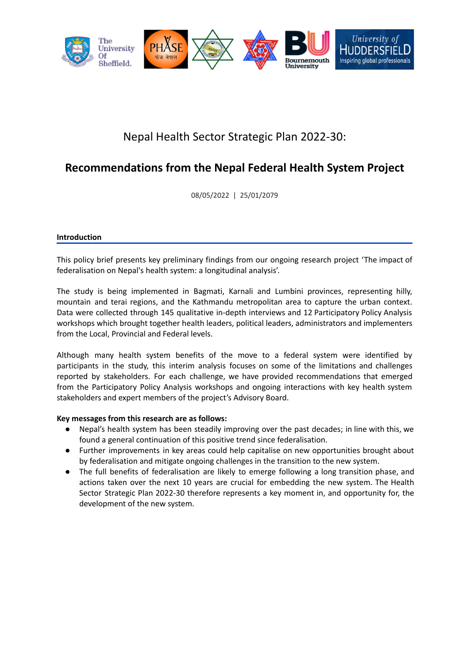

# Nepal Health Sector Strategic Plan 2022-30:

## **Recommendations from the Nepal Federal Health System Project**

08/05/2022 | 25/01/2079

#### **Introduction**

This policy brief presents key preliminary findings from our ongoing research project 'The impact of federalisation on Nepal's health system: a longitudinal analysis'.

The study is being implemented in Bagmati, Karnali and Lumbini provinces, representing hilly, mountain and terai regions, and the Kathmandu metropolitan area to capture the urban context. Data were collected through 145 qualitative in-depth interviews and 12 Participatory Policy Analysis workshops which brought together health leaders, political leaders, administrators and implementers from the Local, Provincial and Federal levels.

Although many health system benefits of the move to a federal system were identified by participants in the study, this interim analysis focuses on some of the limitations and challenges reported by stakeholders. For each challenge, we have provided recommendations that emerged from the Participatory Policy Analysis workshops and ongoing interactions with key health system stakeholders and expert members of the project's Advisory Board.

### **Key messages from this research are as follows:**

- Nepal's health system has been steadily improving over the past decades; in line with this, we found a general continuation of this positive trend since federalisation.
- Further improvements in key areas could help capitalise on new opportunities brought about by federalisation and mitigate ongoing challenges in the transition to the new system.
- The full benefits of federalisation are likely to emerge following a long transition phase, and actions taken over the next 10 years are crucial for embedding the new system. The Health Sector Strategic Plan 2022-30 therefore represents a key moment in, and opportunity for, the development of the new system.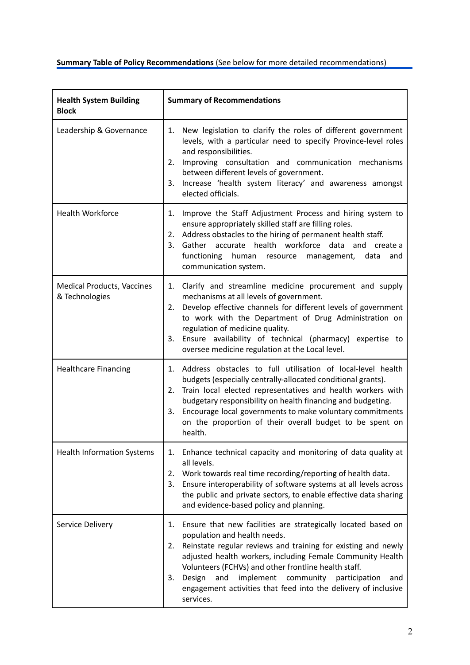## **Summary Table of Policy Recommendations** (See below for more detailed recommendations)

| <b>Health System Building</b><br><b>Block</b>       | <b>Summary of Recommendations</b>                                                                                                                                                                                                                                                                                                                                                                                                                  |
|-----------------------------------------------------|----------------------------------------------------------------------------------------------------------------------------------------------------------------------------------------------------------------------------------------------------------------------------------------------------------------------------------------------------------------------------------------------------------------------------------------------------|
| Leadership & Governance                             | New legislation to clarify the roles of different government<br>1.<br>levels, with a particular need to specify Province-level roles<br>and responsibilities.<br>Improving consultation and communication mechanisms<br>2.<br>between different levels of government.<br>3. Increase 'health system literacy' and awareness amongst<br>elected officials.                                                                                          |
| <b>Health Workforce</b>                             | 1. Improve the Staff Adjustment Process and hiring system to<br>ensure appropriately skilled staff are filling roles.<br>Address obstacles to the hiring of permanent health staff.<br>2.<br>3. Gather accurate health workforce data<br>and<br>create a<br>functioning<br>human resource<br>data<br>management,<br>and<br>communication system.                                                                                                   |
| <b>Medical Products, Vaccines</b><br>& Technologies | 1. Clarify and streamline medicine procurement and supply<br>mechanisms at all levels of government.<br>2. Develop effective channels for different levels of government<br>to work with the Department of Drug Administration on<br>regulation of medicine quality.<br>3. Ensure availability of technical (pharmacy) expertise to<br>oversee medicine regulation at the Local level.                                                             |
| <b>Healthcare Financing</b>                         | 1. Address obstacles to full utilisation of local-level health<br>budgets (especially centrally-allocated conditional grants).<br>2. Train local elected representatives and health workers with<br>budgetary responsibility on health financing and budgeting.<br>3. Encourage local governments to make voluntary commitments<br>on the proportion of their overall budget to be spent on<br>health.                                             |
| <b>Health Information Systems</b>                   | 1. Enhance technical capacity and monitoring of data quality at<br>all levels.<br>2. Work towards real time recording/reporting of health data.<br>Ensure interoperability of software systems at all levels across<br>3.<br>the public and private sectors, to enable effective data sharing<br>and evidence-based policy and planning.                                                                                                           |
| Service Delivery                                    | 1. Ensure that new facilities are strategically located based on<br>population and health needs.<br>Reinstate regular reviews and training for existing and newly<br>2.<br>adjusted health workers, including Female Community Health<br>Volunteers (FCHVs) and other frontline health staff.<br>Design<br>implement community<br>and<br>3.<br>participation<br>and<br>engagement activities that feed into the delivery of inclusive<br>services. |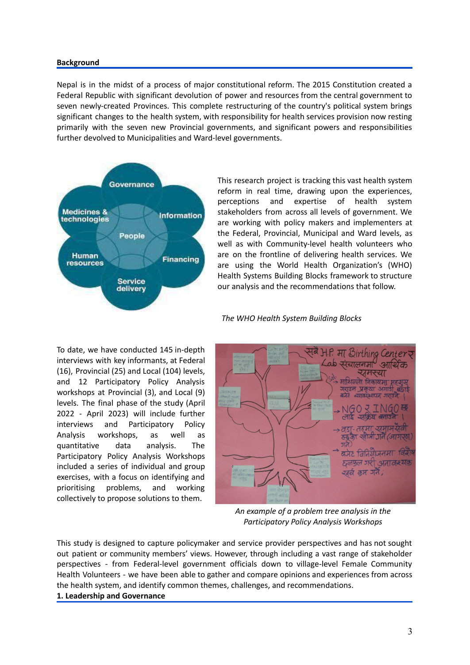#### **Background**

Nepal is in the midst of a process of major constitutional reform. The 2015 Constitution created a Federal Republic with significant devolution of power and resources from the central government to seven newly-created Provinces. This complete restructuring of the country's political system brings significant changes to the health system, with responsibility for health services provision now resting primarily with the seven new Provincial governments, and significant powers and responsibilities further devolved to Municipalities and Ward-level governments.



This research project is tracking this vast health system reform in real time, drawing upon the experiences, perceptions and expertise of health system stakeholders from across all levels of government. We are working with policy makers and implementers at the Federal, Provincial, Municipal and Ward levels, as well as with Community-level health volunteers who are on the frontline of delivering health services. We are using the World Health Organization's (WHO) Health Systems Building Blocks framework to structure our analysis and the recommendations that follow.



To date, we have conducted 145 in-depth interviews with key informants, at Federal (16), Provincial (25) and Local (104) levels, and 12 Participatory Policy Analysis workshops at Provincial (3), and Local (9) levels. The final phase of the study (April 2022 - April 2023) will include further interviews and Participatory Policy Analysis workshops, as well as quantitative data analysis. The Participatory Policy Analysis Workshops included a series of individual and group exercises, with a focus on identifying and prioritising problems, and working collectively to propose solutions to them.



*An example of a problem tree analysis in the Participatory Policy Analysis Workshops*

This study is designed to capture policymaker and service provider perspectives and has not sought out patient or community members' views. However, through including a vast range of stakeholder perspectives - from Federal-level government officials down to village-level Female Community Health Volunteers - we have been able to gather and compare opinions and experiences from across the health system, and identify common themes, challenges, and recommendations.

#### **1. Leadership and Governance**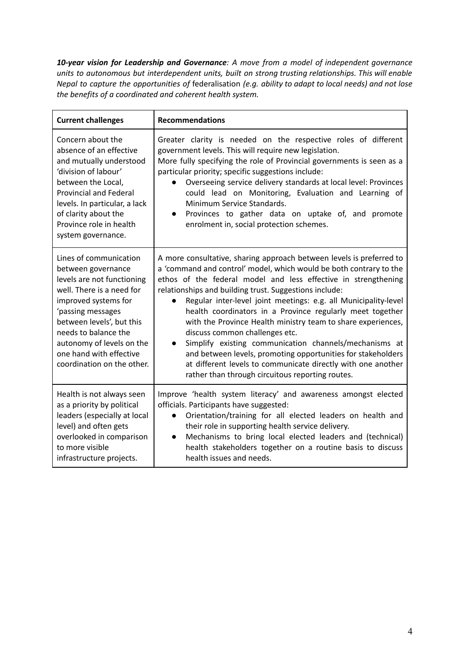*10-year vision for Leadership and Governance: A move from a model of independent governance units to autonomous but interdependent units, built on strong trusting relationships. This will enable Nepal to capture the opportunities of* federalisation *(e.g. ability to adapt to local needs) and not lose the benefits of a coordinated and coherent health system.*

| <b>Current challenges</b>                                                                                                                                                                                                                                                                       | <b>Recommendations</b>                                                                                                                                                                                                                                                                                                                                                                                                                                                                                                                                                                                                                                                                                                                                                           |
|-------------------------------------------------------------------------------------------------------------------------------------------------------------------------------------------------------------------------------------------------------------------------------------------------|----------------------------------------------------------------------------------------------------------------------------------------------------------------------------------------------------------------------------------------------------------------------------------------------------------------------------------------------------------------------------------------------------------------------------------------------------------------------------------------------------------------------------------------------------------------------------------------------------------------------------------------------------------------------------------------------------------------------------------------------------------------------------------|
| Concern about the<br>absence of an effective<br>and mutually understood<br>'division of labour'<br>between the Local,<br><b>Provincial and Federal</b><br>levels. In particular, a lack<br>of clarity about the<br>Province role in health<br>system governance.                                | Greater clarity is needed on the respective roles of different<br>government levels. This will require new legislation.<br>More fully specifying the role of Provincial governments is seen as a<br>particular priority; specific suggestions include:<br>Overseeing service delivery standards at local level: Provinces<br>could lead on Monitoring, Evaluation and Learning of<br>Minimum Service Standards.<br>Provinces to gather data on uptake of, and promote<br>$\bullet$<br>enrolment in, social protection schemes.                                                                                                                                                                                                                                                   |
| Lines of communication<br>between governance<br>levels are not functioning<br>well. There is a need for<br>improved systems for<br>'passing messages<br>between levels', but this<br>needs to balance the<br>autonomy of levels on the<br>one hand with effective<br>coordination on the other. | A more consultative, sharing approach between levels is preferred to<br>a 'command and control' model, which would be both contrary to the<br>ethos of the federal model and less effective in strengthening<br>relationships and building trust. Suggestions include:<br>Regular inter-level joint meetings: e.g. all Municipality-level<br>$\bullet$<br>health coordinators in a Province regularly meet together<br>with the Province Health ministry team to share experiences,<br>discuss common challenges etc.<br>Simplify existing communication channels/mechanisms at<br>$\bullet$<br>and between levels, promoting opportunities for stakeholders<br>at different levels to communicate directly with one another<br>rather than through circuitous reporting routes. |
| Health is not always seen<br>as a priority by political<br>leaders (especially at local<br>level) and often gets<br>overlooked in comparison<br>to more visible<br>infrastructure projects.                                                                                                     | Improve 'health system literacy' and awareness amongst elected<br>officials. Participants have suggested:<br>Orientation/training for all elected leaders on health and<br>$\bullet$<br>their role in supporting health service delivery.<br>Mechanisms to bring local elected leaders and (technical)<br>$\bullet$<br>health stakeholders together on a routine basis to discuss<br>health issues and needs.                                                                                                                                                                                                                                                                                                                                                                    |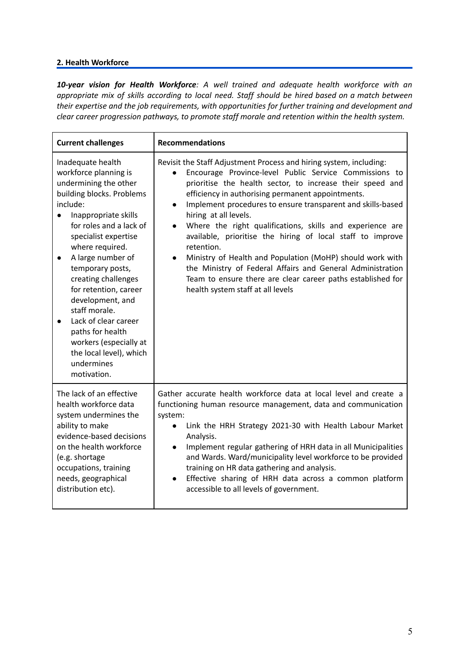### **2. Health Workforce**

*10-year vision for Health Workforce: A well trained and adequate health workforce with an appropriate mix of skills according to local need. Staff should be hired based on a match between their expertise and the job requirements, with opportunities for further training and development and clear career progression pathways, to promote staff morale and retention within the health system.*

| <b>Current challenges</b>                                                                                                                                                                                                                                                                                                                                                                                                                                                                        | <b>Recommendations</b>                                                                                                                                                                                                                                                                                                                                                                                                                                                                                                                                                                                                                                                                                                                                             |
|--------------------------------------------------------------------------------------------------------------------------------------------------------------------------------------------------------------------------------------------------------------------------------------------------------------------------------------------------------------------------------------------------------------------------------------------------------------------------------------------------|--------------------------------------------------------------------------------------------------------------------------------------------------------------------------------------------------------------------------------------------------------------------------------------------------------------------------------------------------------------------------------------------------------------------------------------------------------------------------------------------------------------------------------------------------------------------------------------------------------------------------------------------------------------------------------------------------------------------------------------------------------------------|
| Inadequate health<br>workforce planning is<br>undermining the other<br>building blocks. Problems<br>include:<br>Inappropriate skills<br>for roles and a lack of<br>specialist expertise<br>where required.<br>A large number of<br>$\bullet$<br>temporary posts,<br>creating challenges<br>for retention, career<br>development, and<br>staff morale.<br>Lack of clear career<br>$\bullet$<br>paths for health<br>workers (especially at<br>the local level), which<br>undermines<br>motivation. | Revisit the Staff Adjustment Process and hiring system, including:<br>Encourage Province-level Public Service Commissions to<br>$\bullet$<br>prioritise the health sector, to increase their speed and<br>efficiency in authorising permanent appointments.<br>Implement procedures to ensure transparent and skills-based<br>$\bullet$<br>hiring at all levels.<br>Where the right qualifications, skills and experience are<br>$\bullet$<br>available, prioritise the hiring of local staff to improve<br>retention.<br>Ministry of Health and Population (MoHP) should work with<br>$\bullet$<br>the Ministry of Federal Affairs and General Administration<br>Team to ensure there are clear career paths established for<br>health system staff at all levels |
| The lack of an effective<br>health workforce data<br>system undermines the<br>ability to make<br>evidence-based decisions<br>on the health workforce<br>(e.g. shortage<br>occupations, training<br>needs, geographical<br>distribution etc).                                                                                                                                                                                                                                                     | Gather accurate health workforce data at local level and create a<br>functioning human resource management, data and communication<br>system:<br>Link the HRH Strategy 2021-30 with Health Labour Market<br>$\bullet$<br>Analysis.<br>Implement regular gathering of HRH data in all Municipalities<br>$\bullet$<br>and Wards. Ward/municipality level workforce to be provided<br>training on HR data gathering and analysis.<br>Effective sharing of HRH data across a common platform<br>$\bullet$<br>accessible to all levels of government.                                                                                                                                                                                                                   |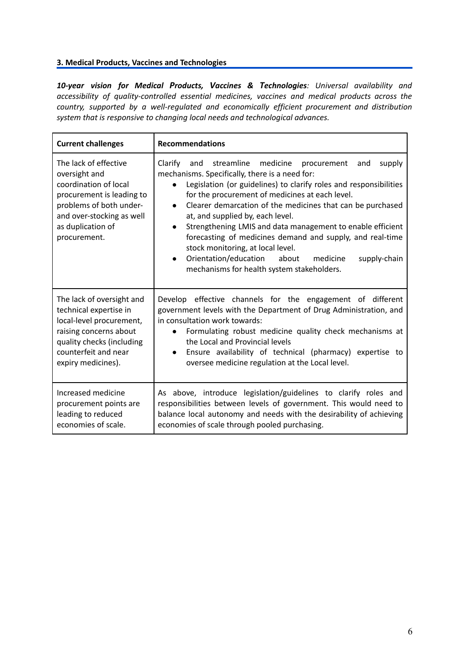## **3. Medical Products, Vaccines and Technologies**

*10-year vision for Medical Products, Vaccines & Technologies: Universal availability and accessibility of quality-controlled essential medicines, vaccines and medical products across the country, supported by a well-regulated and economically efficient procurement and distribution system that is responsive to changing local needs and technological advances.*

| <b>Current challenges</b>                                                                                                                                                                 | <b>Recommendations</b>                                                                                                                                                                                                                                                                                                                                                                                                                                                                                                                                                                                                                                                            |
|-------------------------------------------------------------------------------------------------------------------------------------------------------------------------------------------|-----------------------------------------------------------------------------------------------------------------------------------------------------------------------------------------------------------------------------------------------------------------------------------------------------------------------------------------------------------------------------------------------------------------------------------------------------------------------------------------------------------------------------------------------------------------------------------------------------------------------------------------------------------------------------------|
| The lack of effective<br>oversight and<br>coordination of local<br>procurement is leading to<br>problems of both under-<br>and over-stocking as well<br>as duplication of<br>procurement. | streamline medicine<br>Clarify<br>and<br>supply<br>procurement<br>and<br>mechanisms. Specifically, there is a need for:<br>Legislation (or guidelines) to clarify roles and responsibilities<br>$\bullet$<br>for the procurement of medicines at each level.<br>Clearer demarcation of the medicines that can be purchased<br>$\bullet$<br>at, and supplied by, each level.<br>Strengthening LMIS and data management to enable efficient<br>$\bullet$<br>forecasting of medicines demand and supply, and real-time<br>stock monitoring, at local level.<br>Orientation/education<br>about<br>medicine<br>supply-chain<br>$\bullet$<br>mechanisms for health system stakeholders. |
| The lack of oversight and<br>technical expertise in<br>local-level procurement,<br>raising concerns about<br>quality checks (including<br>counterfeit and near<br>expiry medicines).      | Develop effective channels for the engagement of different<br>government levels with the Department of Drug Administration, and<br>in consultation work towards:<br>Formulating robust medicine quality check mechanisms at<br>$\bullet$<br>the Local and Provincial levels<br>Ensure availability of technical (pharmacy) expertise to<br>$\bullet$<br>oversee medicine regulation at the Local level.                                                                                                                                                                                                                                                                           |
| Increased medicine<br>procurement points are<br>leading to reduced<br>economies of scale.                                                                                                 | As above, introduce legislation/guidelines to clarify roles and<br>responsibilities between levels of government. This would need to<br>balance local autonomy and needs with the desirability of achieving<br>economies of scale through pooled purchasing.                                                                                                                                                                                                                                                                                                                                                                                                                      |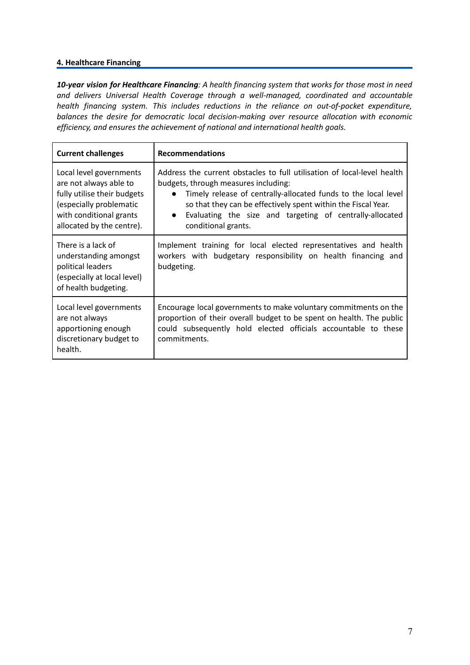#### **4. Healthcare Financing**

*10-year vision for Healthcare Financing: A health financing system that works for those most in need and delivers Universal Health Coverage through a well-managed, coordinated and accountable health financing system. This includes reductions in the reliance on out-of-pocket expenditure, balances the desire for democratic local decision-making over resource allocation with economic efficiency, and ensures the achievement of national and international health goals.*

| <b>Current challenges</b>                                                                                                                                           | <b>Recommendations</b>                                                                                                                                                                                                                                                                                                                                          |
|---------------------------------------------------------------------------------------------------------------------------------------------------------------------|-----------------------------------------------------------------------------------------------------------------------------------------------------------------------------------------------------------------------------------------------------------------------------------------------------------------------------------------------------------------|
| Local level governments<br>are not always able to<br>fully utilise their budgets<br>(especially problematic<br>with conditional grants<br>allocated by the centre). | Address the current obstacles to full utilisation of local-level health<br>budgets, through measures including:<br>Timely release of centrally-allocated funds to the local level<br>$\bullet$<br>so that they can be effectively spent within the Fiscal Year.<br>Evaluating the size and targeting of centrally-allocated<br>$\bullet$<br>conditional grants. |
| There is a lack of<br>understanding amongst<br>political leaders<br>(especially at local level)<br>of health budgeting.                                             | Implement training for local elected representatives and health<br>workers with budgetary responsibility on health financing and<br>budgeting.                                                                                                                                                                                                                  |
| Local level governments<br>are not always<br>apportioning enough<br>discretionary budget to<br>health.                                                              | Encourage local governments to make voluntary commitments on the<br>proportion of their overall budget to be spent on health. The public<br>could subsequently hold elected officials accountable to these<br>commitments.                                                                                                                                      |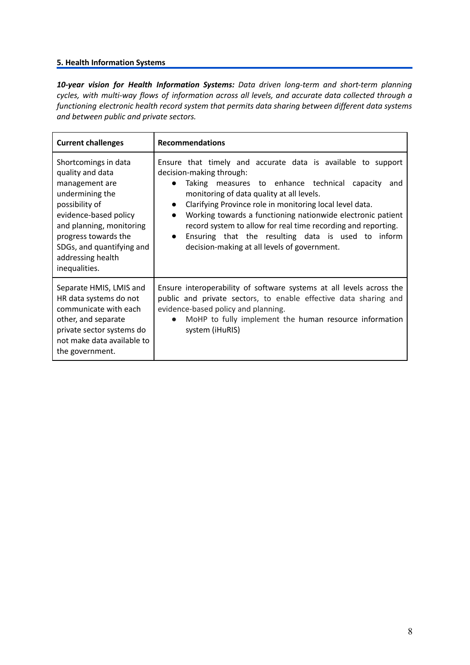## **5. Health Information Systems**

*10-year vision for Health Information Systems: Data driven long-term and short-term planning cycles, with multi-way flows of information across all levels, and accurate data collected through a functioning electronic health record system that permits data sharing between different data systems and between public and private sectors.*

| <b>Current challenges</b>                                                                                                                                                                                                                       | <b>Recommendations</b>                                                                                                                                                                                                                                                                                                                                                                                                                                                                                                                              |
|-------------------------------------------------------------------------------------------------------------------------------------------------------------------------------------------------------------------------------------------------|-----------------------------------------------------------------------------------------------------------------------------------------------------------------------------------------------------------------------------------------------------------------------------------------------------------------------------------------------------------------------------------------------------------------------------------------------------------------------------------------------------------------------------------------------------|
| Shortcomings in data<br>quality and data<br>management are<br>undermining the<br>possibility of<br>evidence-based policy<br>and planning, monitoring<br>progress towards the<br>SDGs, and quantifying and<br>addressing health<br>inequalities. | Ensure that timely and accurate data is available to support<br>decision-making through:<br>Taking measures to enhance technical capacity<br>and<br>$\bullet$<br>monitoring of data quality at all levels.<br>Clarifying Province role in monitoring local level data.<br>$\bullet$<br>Working towards a functioning nationwide electronic patient<br>$\bullet$<br>record system to allow for real time recording and reporting.<br>Ensuring that the resulting data is used to inform<br>$\bullet$<br>decision-making at all levels of government. |
| Separate HMIS, LMIS and<br>HR data systems do not<br>communicate with each<br>other, and separate<br>private sector systems do<br>not make data available to<br>the government.                                                                 | Ensure interoperability of software systems at all levels across the<br>public and private sectors, to enable effective data sharing and<br>evidence-based policy and planning.<br>MoHP to fully implement the human resource information<br>$\bullet$<br>system (iHuRIS)                                                                                                                                                                                                                                                                           |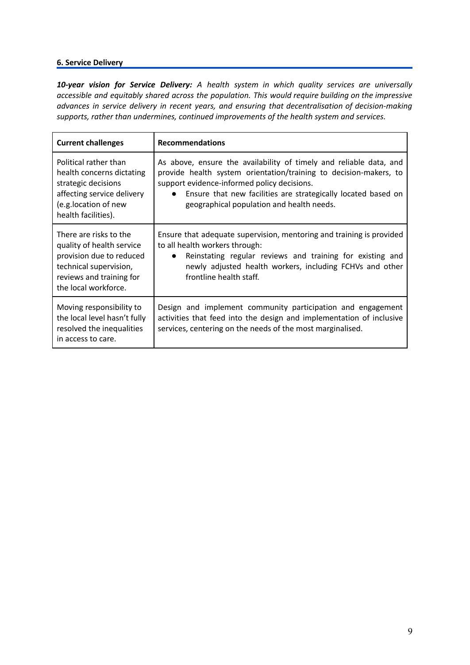## **6. Service Delivery**

*10-year vision for Service Delivery: A health system in which quality services are universally accessible and equitably shared across the population. This would require building on the impressive advances in service delivery in recent years, and ensuring that decentralisation of decision-making supports, rather than undermines, continued improvements of the health system and services.*

| <b>Current challenges</b>                                                                                   | <b>Recommendations</b>                                                                                                                                                                            |
|-------------------------------------------------------------------------------------------------------------|---------------------------------------------------------------------------------------------------------------------------------------------------------------------------------------------------|
| Political rather than                                                                                       | As above, ensure the availability of timely and reliable data, and                                                                                                                                |
| health concerns dictating                                                                                   | provide health system orientation/training to decision-makers, to                                                                                                                                 |
| strategic decisions                                                                                         | support evidence-informed policy decisions.                                                                                                                                                       |
| affecting service delivery                                                                                  | Ensure that new facilities are strategically located based on                                                                                                                                     |
| (e.g.location of new                                                                                        | $\bullet$                                                                                                                                                                                         |
| health facilities).                                                                                         | geographical population and health needs.                                                                                                                                                         |
| There are risks to the                                                                                      | Ensure that adequate supervision, mentoring and training is provided                                                                                                                              |
| quality of health service                                                                                   | to all health workers through:                                                                                                                                                                    |
| provision due to reduced                                                                                    | Reinstating regular reviews and training for existing and                                                                                                                                         |
| technical supervision,                                                                                      | $\bullet$                                                                                                                                                                                         |
| reviews and training for                                                                                    | newly adjusted health workers, including FCHVs and other                                                                                                                                          |
| the local workforce.                                                                                        | frontline health staff.                                                                                                                                                                           |
| Moving responsibility to<br>the local level hasn't fully<br>resolved the inequalities<br>in access to care. | Design and implement community participation and engagement<br>activities that feed into the design and implementation of inclusive<br>services, centering on the needs of the most marginalised. |